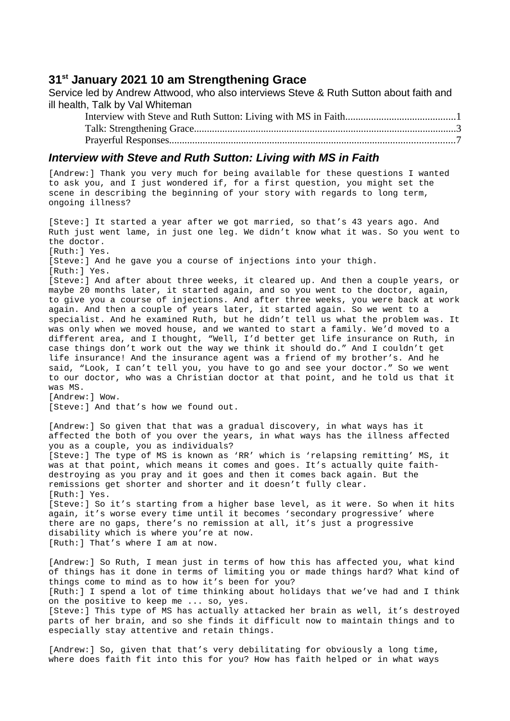## **31st January 2021 10 am Strengthening Grace**

Service led by Andrew Attwood, who also interviews Steve & Ruth Sutton about faith and ill health, Talk by Val Whiteman

Interview with Steve and Ruth Sutton: Living with MS in Faith...........................................1 [Talk: Strengthening Grace......................................................................................................3](#page-2-0) Prayerful Responses...............................................................................................................7

## *Interview with Steve and Ruth Sutton: Living with MS in Faith*

[Andrew:] Thank you very much for being available for these questions I wanted to ask you, and I just wondered if, for a first question, you might set the scene in describing the beginning of your story with regards to long term, ongoing illness?

[Steve:] It started a year after we got married, so that's 43 years ago. And Ruth just went lame, in just one leg. We didn't know what it was. So you went to the doctor. [Ruth:] Yes. [Steve:] And he gave you a course of injections into your thigh. [Ruth:] Yes. [Steve:] And after about three weeks, it cleared up. And then a couple years, or maybe 20 months later, it started again, and so you went to the doctor, again, to give you a course of injections. And after three weeks, you were back at work again. And then a couple of years later, it started again. So we went to a specialist. And he examined Ruth, but he didn't tell us what the problem was. It was only when we moved house, and we wanted to start a family. We'd moved to a different area, and I thought, "Well, I'd better get life insurance on Ruth, in case things don't work out the way we think it should do." And I couldn't get life insurance! And the insurance agent was a friend of my brother's. And he said, "Look, I can't tell you, you have to go and see your doctor." So we went to our doctor, who was a Christian doctor at that point, and he told us that it was MS. [Andrew:] Wow. [Steve:] And that's how we found out. [Andrew:] So given that that was a gradual discovery, in what ways has it affected the both of you over the years, in what ways has the illness affected you as a couple, you as individuals? [Steve:] The type of MS is known as 'RR' which is 'relapsing remitting' MS, it was at that point, which means it comes and goes. It's actually quite faithdestroying as you pray and it goes and then it comes back again. But the remissions get shorter and shorter and it doesn't fully clear. [Ruth:] Yes. [Steve:] So it's starting from a higher base level, as it were. So when it hits again, it's worse every time until it becomes 'secondary progressive' where there are no gaps, there's no remission at all, it's just a progressive disability which is where you're at now. [Ruth:] That's where I am at now. [Andrew:] So Ruth, I mean just in terms of how this has affected you, what kind of things has it done in terms of limiting you or made things hard? What kind of things come to mind as to how it's been for you?

[Ruth:] I spend a lot of time thinking about holidays that we've had and I think on the positive to keep me ... so, yes.

[Steve:] This type of MS has actually attacked her brain as well, it's destroved parts of her brain, and so she finds it difficult now to maintain things and to especially stay attentive and retain things.

[Andrew:] So, given that that's very debilitating for obviously a long time, where does faith fit into this for you? How has faith helped or in what ways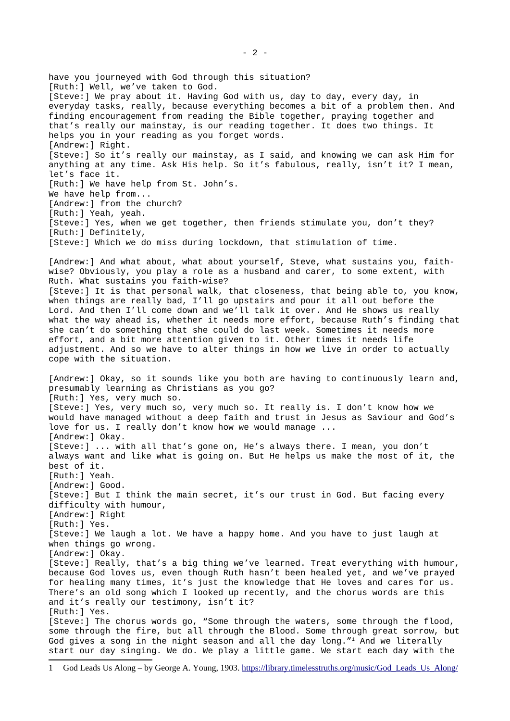have you journeyed with God through this situation? [Ruth:] Well, we've taken to God. [Steve:] We pray about it. Having God with us, day to day, every day, in everyday tasks, really, because everything becomes a bit of a problem then. And finding encouragement from reading the Bible together, praying together and that's really our mainstay, is our reading together. It does two things. It helps you in your reading as you forget words. [Andrew:] Right. [Steve:] So it's really our mainstay, as I said, and knowing we can ask Him for anything at any time. Ask His help. So it's fabulous, really, isn't it? I mean, let's face it. [Ruth:] We have help from St. John's. We have help from... [Andrew:] from the church? [Ruth:] Yeah, yeah. [Steve:] Yes, when we get together, then friends stimulate you, don't they? [Ruth:] Definitely, [Steve:] Which we do miss during lockdown, that stimulation of time. [Andrew:] And what about, what about yourself, Steve, what sustains you, faithwise? Obviously, you play a role as a husband and carer, to some extent, with Ruth. What sustains you faith-wise? [Steve:] It is that personal walk, that closeness, that being able to, you know, when things are really bad, I'll go upstairs and pour it all out before the Lord. And then I'll come down and we'll talk it over. And He shows us really what the way ahead is, whether it needs more effort, because Ruth's finding that she can't do something that she could do last week. Sometimes it needs more effort, and a bit more attention given to it. Other times it needs life adjustment. And so we have to alter things in how we live in order to actually cope with the situation. [Andrew:] Okay, so it sounds like you both are having to continuously learn and, presumably learning as Christians as you go? [Ruth:] Yes, very much so. [Steve:] Yes, very much so, very much so. It really is. I don't know how we would have managed without a deep faith and trust in Jesus as Saviour and God's love for us. I really don't know how we would manage ... [Andrew:] Okay. [Steve:] ... with all that's gone on, He's always there. I mean, you don't always want and like what is going on. But He helps us make the most of it, the best of it. [Ruth: 1 Yeah. [Andrew:] Good. [Steve:] But I think the main secret, it's our trust in God. But facing every difficulty with humour, [Andrew:] Right [Ruth:] Yes. [Steve:] We laugh a lot. We have a happy home. And you have to just laugh at when things go wrong. [Andrew:] Okay. [Steve:] Really, that's a big thing we've learned. Treat everything with humour, because God loves us, even though Ruth hasn't been healed yet, and we've prayed for healing many times, it's just the knowledge that He loves and cares for us. There's an old song which I looked up recently, and the chorus words are this and it's really our testimony, isn't it? [Ruth:] Yes. [Steve:] The chorus words go, "Some through the waters, some through the flood, some through the fire, but all through the Blood. Some through great sorrow, but God gives a song in the night season and all the day long."<sup>[1](#page-1-0)</sup> And we literally start our day singing. We do. We play a little game. We start each day with the

<span id="page-1-0"></span><sup>1</sup> God Leads Us Along – by George A. Young, 1903. [https://library.timelesstruths.org/music/God\\_Leads\\_Us\\_Along/](https://library.timelesstruths.org/music/God_Leads_Us_Along/)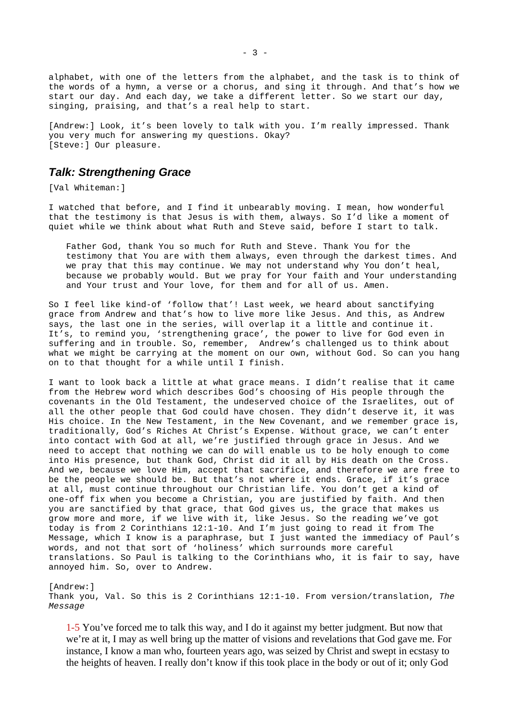alphabet, with one of the letters from the alphabet, and the task is to think of the words of a hymn, a verse or a chorus, and sing it through. And that's how we start our day. And each day, we take a different letter. So we start our day, singing, praising, and that's a real help to start.

[Andrew:] Look, it's been lovely to talk with you. I'm really impressed. Thank you very much for answering my questions. Okay? [Steve:] Our pleasure.

## <span id="page-2-0"></span>*Talk: Strengthening Grace*

[Val Whiteman:]

I watched that before, and I find it unbearably moving. I mean, how wonderful that the testimony is that Jesus is with them, always. So I'd like a moment of quiet while we think about what Ruth and Steve said, before I start to talk.

Father God, thank You so much for Ruth and Steve. Thank You for the testimony that You are with them always, even through the darkest times. And we pray that this may continue. We may not understand why You don't heal, because we probably would. But we pray for Your faith and Your understanding and Your trust and Your love, for them and for all of us. Amen.

So I feel like kind-of 'follow that'! Last week, we heard about sanctifying grace from Andrew and that's how to live more like Jesus. And this, as Andrew says, the last one in the series, will overlap it a little and continue it. It's, to remind you, 'strengthening grace', the power to live for God even in suffering and in trouble. So, remember, Andrew's challenged us to think about what we might be carrying at the moment on our own, without God. So can you hang on to that thought for a while until I finish.

I want to look back a little at what grace means. I didn't realise that it came from the Hebrew word which describes God's choosing of His people through the covenants in the Old Testament, the undeserved choice of the Israelites, out of all the other people that God could have chosen. They didn't deserve it, it was His choice. In the New Testament, in the New Covenant, and we remember grace is, traditionally, God's Riches At Christ's Expense. Without grace, we can't enter into contact with God at all, we're justified through grace in Jesus. And we need to accept that nothing we can do will enable us to be holy enough to come into His presence, but thank God, Christ did it all by His death on the Cross. And we, because we love Him, accept that sacrifice, and therefore we are free to be the people we should be. But that's not where it ends. Grace, if it's grace at all, must continue throughout our Christian life. You don't get a kind of one-off fix when you become a Christian, you are justified by faith. And then you are sanctified by that grace, that God gives us, the grace that makes us grow more and more, if we live with it, like Jesus. So the reading we've got today is from 2 Corinthians 12:1-10. And I'm just going to read it from The Message, which I know is a paraphrase, but I just wanted the immediacy of Paul's words, and not that sort of 'holiness' which surrounds more careful translations. So Paul is talking to the Corinthians who, it is fair to say, have annoyed him. So, over to Andrew.

[Andrew:] Thank you, Val. So this is 2 Corinthians 12:1-10. From version/translation, *The Message*

1-5 You've forced me to talk this way, and I do it against my better judgment. But now that we're at it, I may as well bring up the matter of visions and revelations that God gave me. For instance, I know a man who, fourteen years ago, was seized by Christ and swept in ecstasy to the heights of heaven. I really don't know if this took place in the body or out of it; only God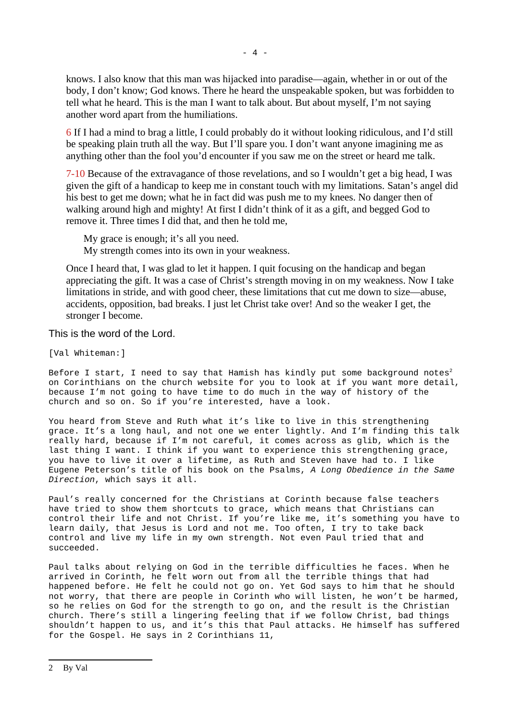knows. I also know that this man was hijacked into paradise—again, whether in or out of the body, I don't know; God knows. There he heard the unspeakable spoken, but was forbidden to tell what he heard. This is the man I want to talk about. But about myself, I'm not saying another word apart from the humiliations.

6 If I had a mind to brag a little, I could probably do it without looking ridiculous, and I'd still be speaking plain truth all the way. But I'll spare you. I don't want anyone imagining me as anything other than the fool you'd encounter if you saw me on the street or heard me talk.

7-10 Because of the extravagance of those revelations, and so I wouldn't get a big head, I was given the gift of a handicap to keep me in constant touch with my limitations. Satan's angel did his best to get me down; what he in fact did was push me to my knees. No danger then of walking around high and mighty! At first I didn't think of it as a gift, and begged God to remove it. Three times I did that, and then he told me,

My grace is enough; it's all you need. My strength comes into its own in your weakness.

Once I heard that, I was glad to let it happen. I quit focusing on the handicap and began appreciating the gift. It was a case of Christ's strength moving in on my weakness. Now I take limitations in stride, and with good cheer, these limitations that cut me down to size—abuse, accidents, opposition, bad breaks. I just let Christ take over! And so the weaker I get, the stronger I become.

This is the word of the Lord.

[Val Whiteman:]

Before I start, I need to say that Hamish has kindly put some background notes<sup>[2](#page-3-0)</sup> on Corinthians on the church website for you to look at if you want more detail, because I'm not going to have time to do much in the way of history of the church and so on. So if you're interested, have a look.

You heard from Steve and Ruth what it's like to live in this strengthening grace. It's a long haul, and not one we enter lightly. And I'm finding this talk really hard, because if I'm not careful, it comes across as glib, which is the last thing I want. I think if you want to experience this strengthening grace, you have to live it over a lifetime, as Ruth and Steven have had to. I like Eugene Peterson's title of his book on the Psalms, *A Long Obedience in the Same Direction*, which says it all.

Paul's really concerned for the Christians at Corinth because false teachers have tried to show them shortcuts to grace, which means that Christians can control their life and not Christ. If you're like me, it's something you have to learn daily, that Jesus is Lord and not me. Too often, I try to take back control and live my life in my own strength. Not even Paul tried that and succeeded.

Paul talks about relying on God in the terrible difficulties he faces. When he arrived in Corinth, he felt worn out from all the terrible things that had happened before. He felt he could not go on. Yet God says to him that he should not worry, that there are people in Corinth who will listen, he won't be harmed, so he relies on God for the strength to go on, and the result is the Christian church. There's still a lingering feeling that if we follow Christ, bad things shouldn't happen to us, and it's this that Paul attacks. He himself has suffered for the Gospel. He says in 2 Corinthians 11,

<span id="page-3-0"></span><sup>2</sup> By Val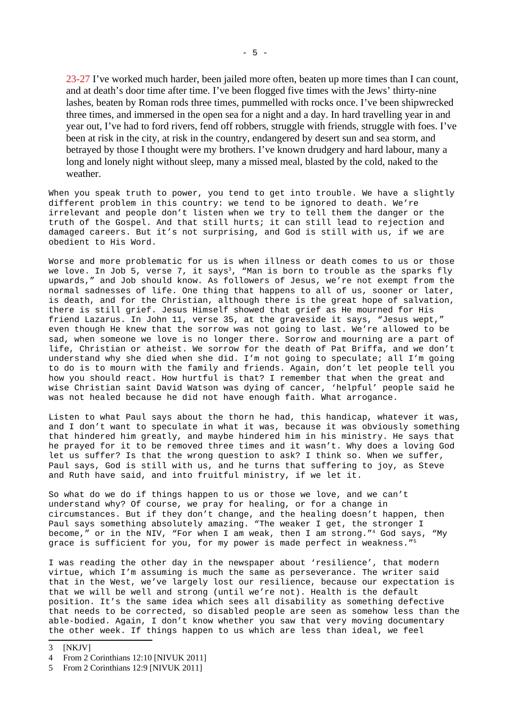23-27 I've worked much harder, been jailed more often, beaten up more times than I can count, and at death's door time after time. I've been flogged five times with the Jews' thirty-nine lashes, beaten by Roman rods three times, pummelled with rocks once. I've been shipwrecked three times, and immersed in the open sea for a night and a day. In hard travelling year in and year out, I've had to ford rivers, fend off robbers, struggle with friends, struggle with foes. I've been at risk in the city, at risk in the country, endangered by desert sun and sea storm, and betrayed by those I thought were my brothers. I've known drudgery and hard labour, many a long and lonely night without sleep, many a missed meal, blasted by the cold, naked to the weather.

When you speak truth to power, you tend to get into trouble. We have a slightly different problem in this country: we tend to be ignored to death. We're irrelevant and people don't listen when we try to tell them the danger or the truth of the Gospel. And that still hurts; it can still lead to rejection and damaged careers. But it's not surprising, and God is still with us, if we are obedient to His Word.

Worse and more problematic for us is when illness or death comes to us or those we love. In Job 5, verse 7, it says<sup>[3](#page-4-0)</sup>, "Man is born to trouble as the sparks fly upwards," and Job should know. As followers of Jesus, we're not exempt from the normal sadnesses of life. One thing that happens to all of us, sooner or later, is death, and for the Christian, although there is the great hope of salvation, there is still grief. Jesus Himself showed that grief as He mourned for His friend Lazarus. In John 11, verse 35, at the graveside it says, "Jesus wept," even though He knew that the sorrow was not going to last. We're allowed to be sad, when someone we love is no longer there. Sorrow and mourning are a part of life, Christian or atheist. We sorrow for the death of Pat Briffa, and we don't understand why she died when she did. I'm not going to speculate; all I'm going to do is to mourn with the family and friends. Again, don't let people tell you how you should react. How hurtful is that? I remember that when the great and wise Christian saint David Watson was dying of cancer, 'helpful' people said he was not healed because he did not have enough faith. What arrogance.

Listen to what Paul says about the thorn he had, this handicap, whatever it was, and I don't want to speculate in what it was, because it was obviously something that hindered him greatly, and maybe hindered him in his ministry. He says that he prayed for it to be removed three times and it wasn't. Why does a loving God let us suffer? Is that the wrong question to ask? I think so. When we suffer, Paul says, God is still with us, and he turns that suffering to joy, as Steve and Ruth have said, and into fruitful ministry, if we let it.

So what do we do if things happen to us or those we love, and we can't understand why? Of course, we pray for healing, or for a change in circumstances. But if they don't change, and the healing doesn't happen, then Paul says something absolutely amazing. "The weaker I get, the stronger I become," or in the NIV, "For when I am weak, then I am strong."[4](#page-4-1) God says, "My grace is sufficient for you, for my power is made perfect in weakness."[5](#page-4-2)

I was reading the other day in the newspaper about 'resilience', that modern virtue, which I'm assuming is much the same as perseverance. The writer said that in the West, we've largely lost our resilience, because our expectation is that we will be well and strong (until we're not). Health is the default position. It's the same idea which sees all disability as something defective that needs to be corrected, so disabled people are seen as somehow less than the able-bodied. Again, I don't know whether you saw that very moving documentary the other week. If things happen to us which are less than ideal, we feel

<span id="page-4-1"></span>4 From 2 Corinthians 12:10 [NIVUK 2011]

<span id="page-4-0"></span><sup>3</sup> [NKJV]

<span id="page-4-2"></span><sup>5</sup> From 2 Corinthians 12:9 [NIVUK 2011]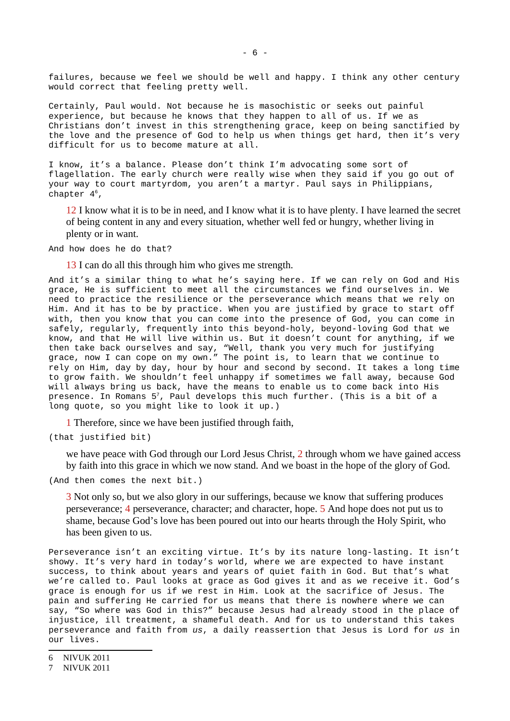failures, because we feel we should be well and happy. I think any other century would correct that feeling pretty well.

Certainly, Paul would. Not because he is masochistic or seeks out painful experience, but because he knows that they happen to all of us. If we as Christians don't invest in this strengthening grace, keep on being sanctified by the love and the presence of God to help us when things get hard, then it's very difficult for us to become mature at all.

I know, it's a balance. Please don't think I'm advocating some sort of flagellation. The early church were really wise when they said if you go out of your way to court martyrdom, you aren't a martyr. Paul says in Philippians, chapter 4 [6](#page-5-0),

12 I know what it is to be in need, and I know what it is to have plenty. I have learned the secret of being content in any and every situation, whether well fed or hungry, whether living in plenty or in want.

And how does he do that?

13 I can do all this through him who gives me strength.

And it's a similar thing to what he's saying here. If we can rely on God and His grace, He is sufficient to meet all the circumstances we find ourselves in. We need to practice the resilience or the perseverance which means that we rely on Him. And it has to be by practice. When you are justified by grace to start off with, then you know that you can come into the presence of God, you can come in safely, regularly, frequently into this beyond-holy, beyond-loving God that we know, and that He will live within us. But it doesn't count for anything, if we then take back ourselves and say, "Well, thank you very much for justifying grace, now I can cope on my own." The point is, to learn that we continue to rely on Him, day by day, hour by hour and second by second. It takes a long time to grow faith. We shouldn't feel unhappy if sometimes we fall away, because God will always bring us back, have the means to enable us to come back into His presence. In Romans 5 [7](#page-5-1), Paul develops this much further. (This is a bit of a long quote, so you might like to look it up.)

1 Therefore, since we have been justified through faith,

(that justified bit)

we have peace with God through our Lord Jesus Christ, 2 through whom we have gained access by faith into this grace in which we now stand. And we boast in the hope of the glory of God.

(And then comes the next bit.)

3 Not only so, but we also glory in our sufferings, because we know that suffering produces perseverance; 4 perseverance, character; and character, hope. 5 And hope does not put us to shame, because God's love has been poured out into our hearts through the Holy Spirit, who has been given to us.

Perseverance isn't an exciting virtue. It's by its nature long-lasting. It isn't showy. It's very hard in today's world, where we are expected to have instant success, to think about years and years of quiet faith in God. But that's what we're called to. Paul looks at grace as God gives it and as we receive it. God's grace is enough for us if we rest in Him. Look at the sacrifice of Jesus. The pain and suffering He carried for us means that there is nowhere where we can say, "So where was God in this?" because Jesus had already stood in the place of injustice, ill treatment, a shameful death. And for us to understand this takes perseverance and faith from *us*, a daily reassertion that Jesus is Lord for *us* in our lives.

<span id="page-5-0"></span><sup>6</sup> NIVUK 2011

<span id="page-5-1"></span><sup>7</sup> NIVUK 2011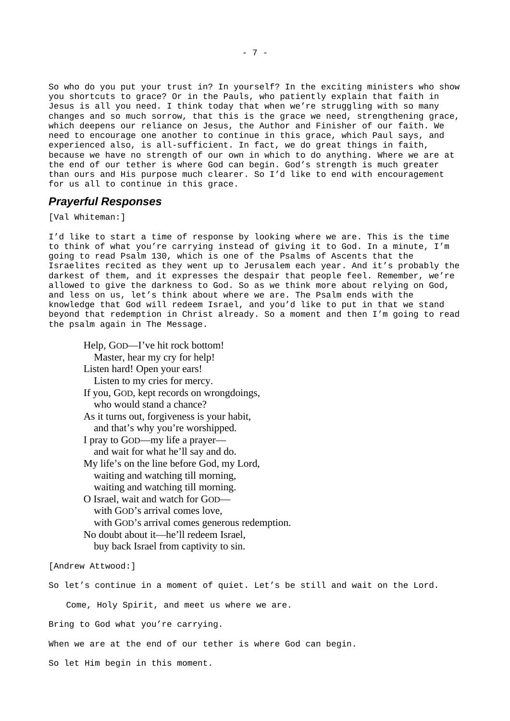So who do you put your trust in? In yourself? In the exciting ministers who show you shortcuts to grace? Or in the Pauls, who patiently explain that faith in Jesus is all you need. I think today that when we're struggling with so many changes and so much sorrow, that this is the grace we need, strengthening grace, which deepens our reliance on Jesus, the Author and Finisher of our faith. We need to encourage one another to continue in this grace, which Paul says, and experienced also, is all-sufficient. In fact, we do great things in faith, because we have no strength of our own in which to do anything. Where we are at the end of our tether is where God can begin. God's strength is much greater than ours and His purpose much clearer. So I'd like to end with encouragement for us all to continue in this grace.

## *Prayerful Responses*

[Val Whiteman:]

I'd like to start a time of response by looking where we are. This is the time to think of what you're carrying instead of giving it to God. In a minute, I'm going to read Psalm 130, which is one of the Psalms of Ascents that the Israelites recited as they went up to Jerusalem each year. And it's probably the darkest of them, and it expresses the despair that people feel. Remember, we're allowed to give the darkness to God. So as we think more about relying on God, and less on us, let's think about where we are. The Psalm ends with the knowledge that God will redeem Israel, and you'd like to put in that we stand beyond that redemption in Christ already. So a moment and then I'm going to read the psalm again in The Message.

Help, GOD—I've hit rock bottom! Master, hear my cry for help! Listen hard! Open your ears! Listen to my cries for mercy. If you, GOD, kept records on wrongdoings,

who would stand a chance?

As it turns out, forgiveness is your habit, and that's why you're worshipped.

I pray to GOD—my life a prayer and wait for what he'll say and do.

My life's on the line before God, my Lord, waiting and watching till morning, waiting and watching till morning.

O Israel, wait and watch for GOD with GOD's arrival comes love, with GOD's arrival comes generous redemption. No doubt about it—he'll redeem Israel, buy back Israel from captivity to sin.

[Andrew Attwood:]

So let's continue in a moment of quiet. Let's be still and wait on the Lord.

Come, Holy Spirit, and meet us where we are.

Bring to God what you're carrying.

When we are at the end of our tether is where God can begin.

So let Him begin in this moment.